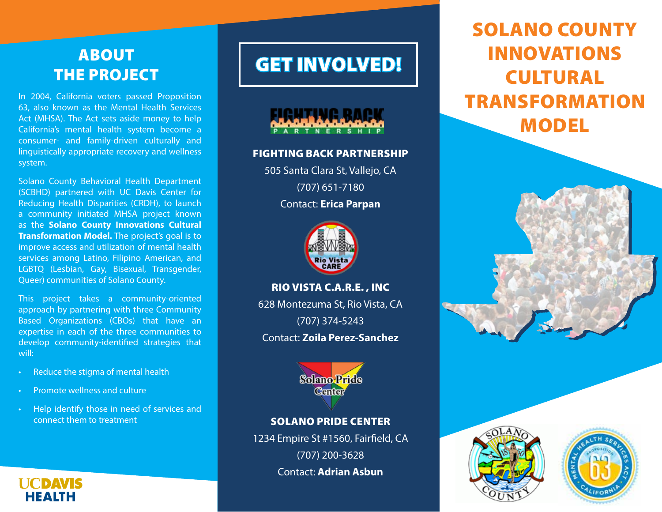# ABOUT THE PROJECT

In 2004, California voters passed Proposition 63, also known as the Mental Health Services Act (MHSA). The Act sets aside money to help California's mental health system become a consumer- and family-driven culturally and linguistically appropriate recovery and wellness system.

Solano County Behavioral Health Department (SCBHD) partnered with UC Davis Center for Reducing Health Disparities (CRDH), to launch a community initiated MHSA project known as the **Solano County Innovations Cultural Transformation Model.** The project's goal is to improve access and utilization of mental health services among Latino, Filipino American, and LGBTQ (Lesbian, Gay, Bisexual, Transgender, Queer) communities of Solano County.

This project takes a community-oriented approach by partnering with three Community Based Organizations (CBOs) that have an expertise in each of the three communities to develop community-identified strategies that will:

- Reduce the stigma of mental health
- Promote wellness and culture

**HCDAVIS HEALTH** 

• Help identify those in need of services and connect them to treatment

# GET INVOLVED!



#### FIGHTING BACK PARTNERSHIP

505 Santa Clara St, Vallejo, CA (707) 651-7180 Contact: **Erica Parpan**



RIO VISTA C.A.R.E. , INC

628 Montezuma St, Rio Vista, CA (707) 374-5243 Contact: **Zoila Perez-Sanchez**



#### SOLANO PRIDE CENTER

1234 Empire St #1560, Fairfield, CA (707) 200-3628 Contact: **Adrian Asbun**

# SOLANO COUNTY INNOVATIONS CULTURAL TRANSFORMATION MODEL